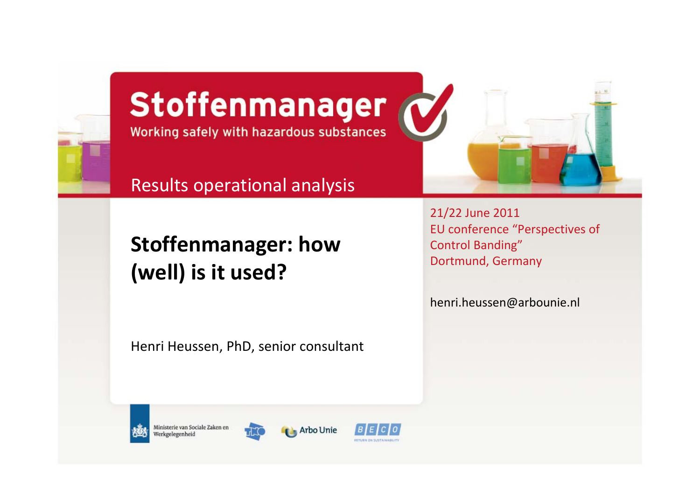

#### Stoffenmanager Working safely with hazardous substances

Results operational analysis

**Stoffenmanager: how (well) is it used?**

Henri Heussen, PhD, senior consultant

21/22 June 2011 EU conference "Perspectives of Control Banding" Dortmund, Germany

[henri.heussen@arbounie.nl](mailto:henri.heussen@arbounie.nl)



Ministerie van Sociale Zaken en Werkgelegenheid



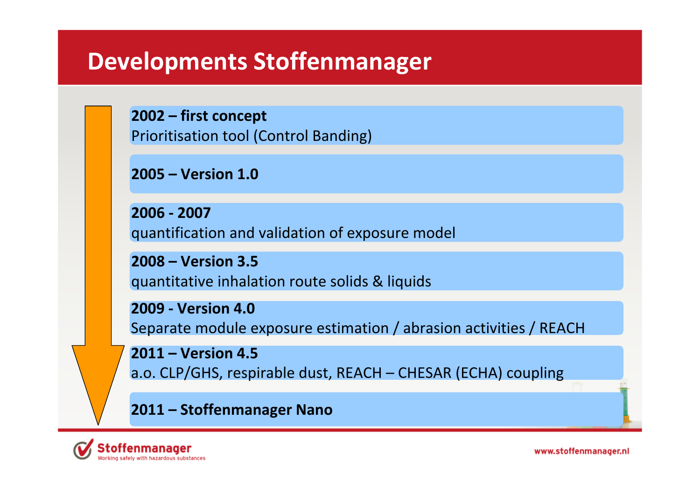#### **Developments Stoffenmanager**

**2002 – first concept** Prioritisation tool (Control Banding)

**2005 – Version 1.0**

**2006 ‐ 2007**quantification and validation of exposure model

**2008 – Version 3.5** quantitative inhalation route solids & liquids

**2009 ‐ Version 4.0** Separate module exposure estimation / abrasion activities / REACH

**2011 – Version 4.5** a.o. CLP/GHS, respirable dust, REACH – CHESAR (ECHA) coupling

**2011 – Stoffenmanager Nano**

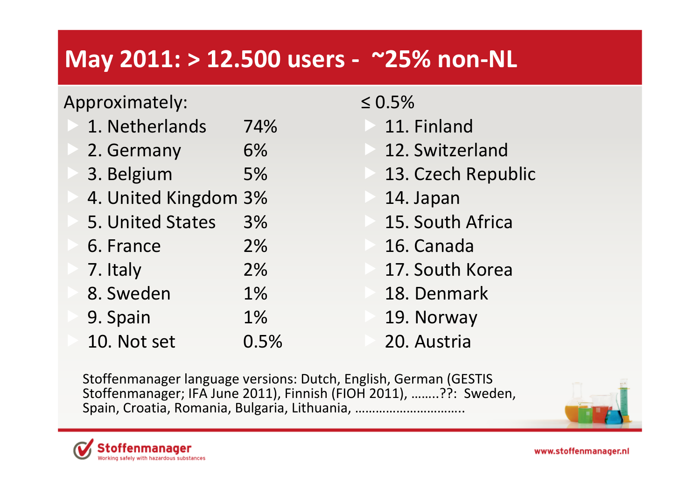#### **May 2011: <sup>&</sup>gt; 12.500 users ‐ ~25% non‐NL**

#### Approximately:

| 1. Netherlands       | 74%  |
|----------------------|------|
| 2. Germany           | 6%   |
| 3. Belgium           | 5%   |
| 4. United Kingdom 3% |      |
| 5. United States     | 3%   |
| 6. France            | 2%   |
| 7. Italy             | 2%   |
| 8. Sweden            | 1%   |
| 9. Spain             | 1%   |
| 10. Not set          | 0.5% |

≤ 0.5%

11. Finland

- 12. Switzerland
- 13. Czech Republic
- 14. Japan
- 15. South Africa
- 16. Canada
- 17. South Korea
- 18. Denmark
- 19. Norway
- 20. Austria

Stoffenmanager language versions: Dutch, English, German (GESTIS Stoffenmanager; IFA June 2011), Finnish (FIOH 2011), ……..??: Sweden, Spain, Croatia, Romania, Bulgaria, Lithuania, …………………………..



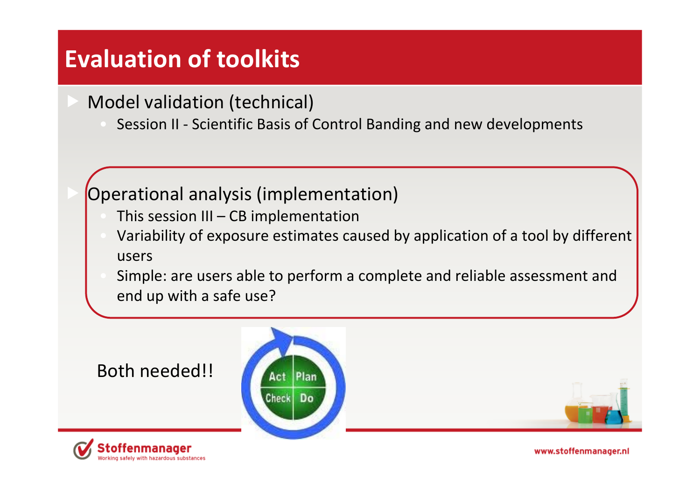#### **Evaluation of toolkits**

- Model validation (technical)
	- Session II Scientific Basis of Control Banding and new developments

#### Operational analysis (implementation)

- $\blacksquare$  This session III CB implementation
- Variability of exposure estimates caused by application of <sup>a</sup> tool by different users
- Simple: are users able to perform <sup>a</sup> complete and reliable assessment and end up with <sup>a</sup> safe use?

#### Both needed!!





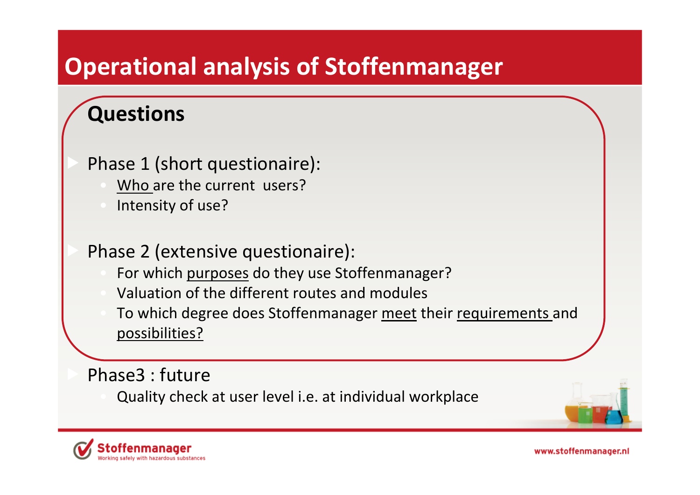#### **Operational analysis of Stoffenmanager**

#### **Questions**

- Phase 1 (short questionaire):
	- Who are the current users?
	- Intensity of use?

Phase 2 (extensive questionaire):

- For which purposes do they use Stoffenmanager?
- Valuation of the different routes and modules
- **To which degree does Stoffenmanager meet their requirements and** possibilities?

Phase3 : future

Quality check at user level i.e. at individual workplace



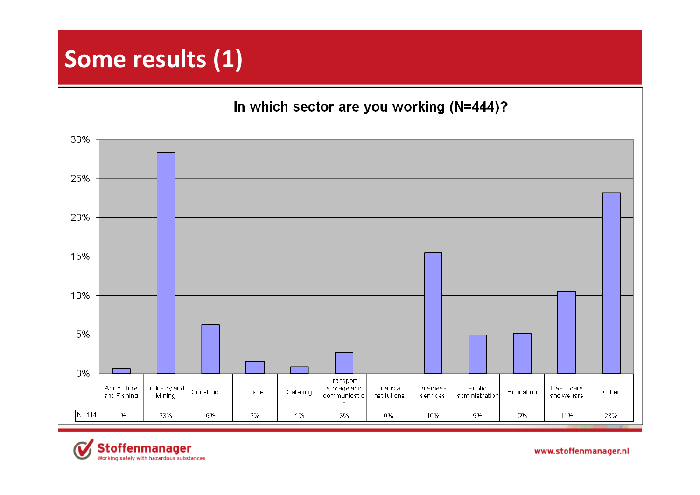### **Some results (1)**

In which sector are you working (N=444)?



**Stoffenmanager** Working safely with hazardous substances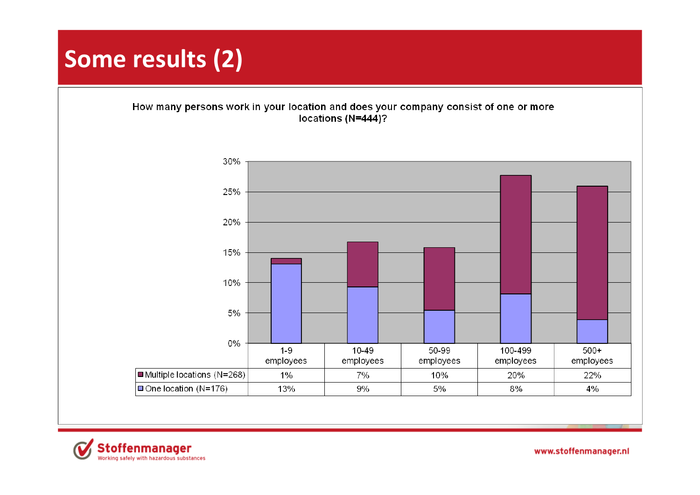## **Some results (2)**

How many persons work in your location and does your company consist of one or more locations (N=444)?



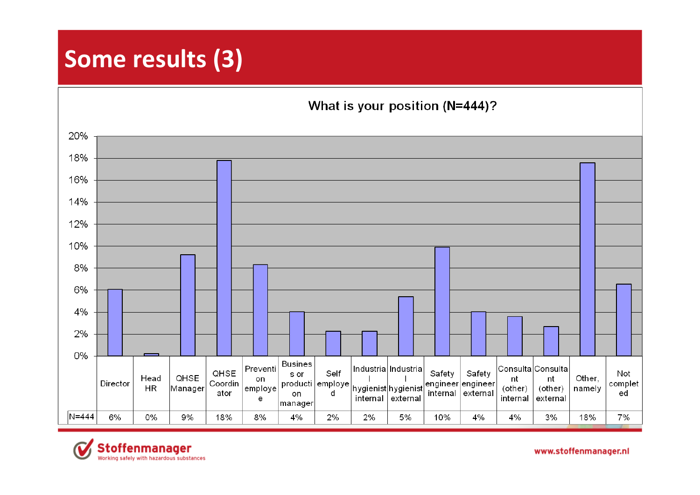#### **Some results (3)**

What is your position (N=444)?



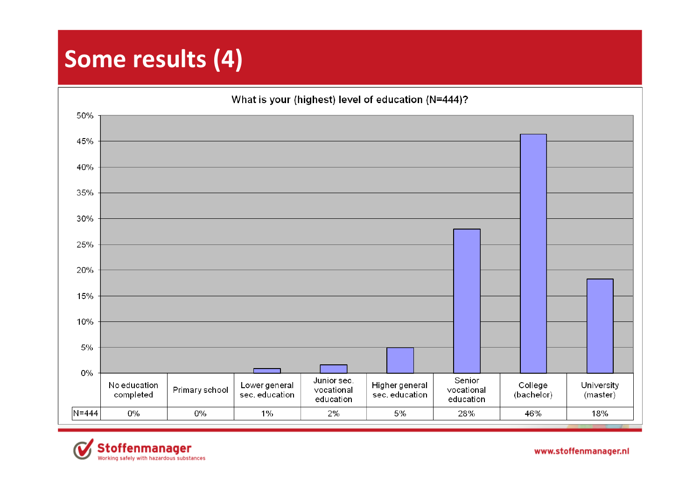## **Some results (4)**

What is your (highest) level of education (N=444)? 50% 45% 40% 35% 30% 25% 20% 15% 10% 5% 0% Junior sec. Senior Higher general No education College University Lower general Primary school vocational vocational completed sec. education sec. education (bachelor) (master) education education  $N = 444$ 0% 0% 1% 2% 5% 28% 46% 18%

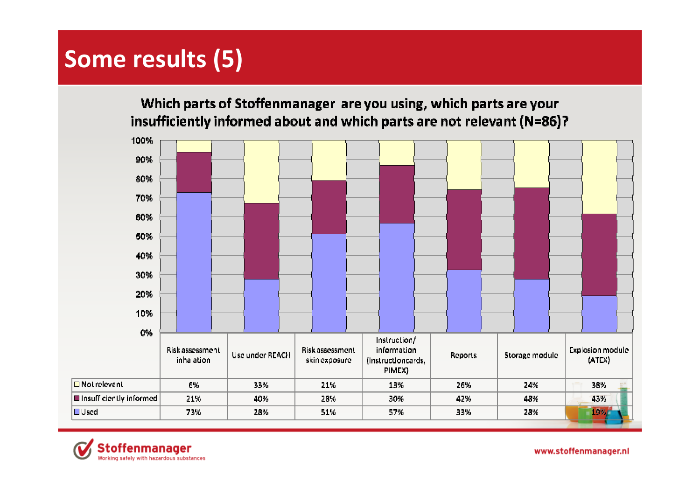## **Some results (5)**

Which parts of Stoffenmanager are you using, which parts are your insufficiently informed about and which parts are not relevant (N=86)?



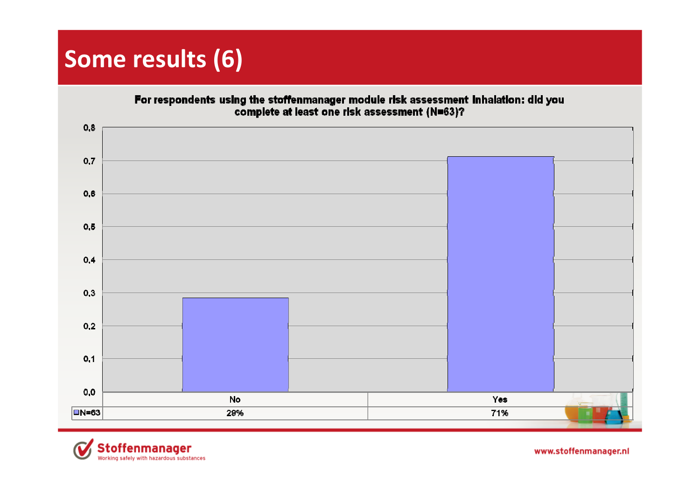### **Some results (6)**

For respondents using the stoffenmanager module risk assessment inhalation: did you<br>complete at least one risk assessment (N=63)?



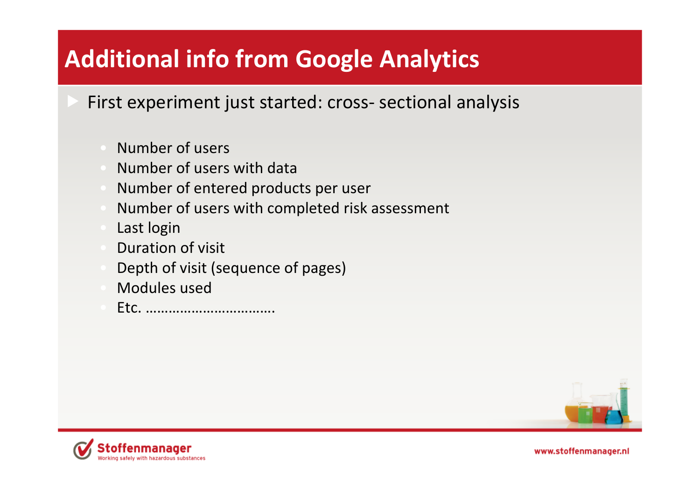# **Additional info from Google Analytics**

- First experiment just started: cross‐ sectional analysis
	- Number of users
	- Number of users with data
	- Number of entered products per user
	- Number of users with completed risk assessment
	- Last login
	- **Duration of visit**
	- Depth of visit (sequence of pages)
	- Modules used
	- Etc. …………………………….



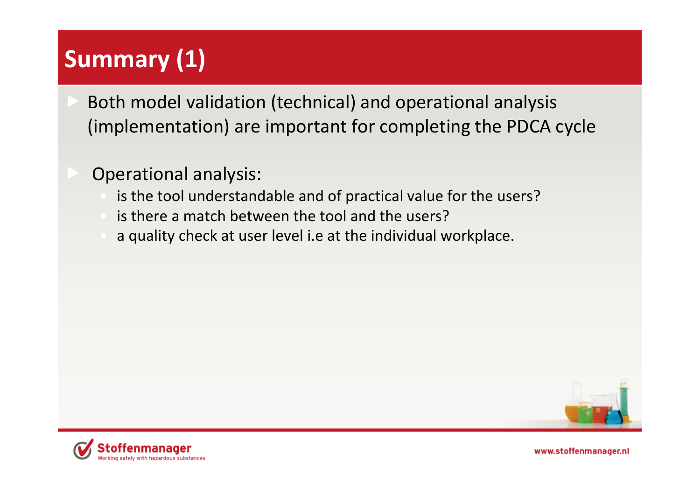# **Summary (1)**

- Both model validation (technical) and operational analysis (implementation) are important for completing the PDCA cycle
	- Operational analysis:
		- is the tool understandable and of practical value for the users?
		- is there <sup>a</sup> match between the tool and the users?
		- <sup>a</sup> quality check at user level i.e at the individual workplace.